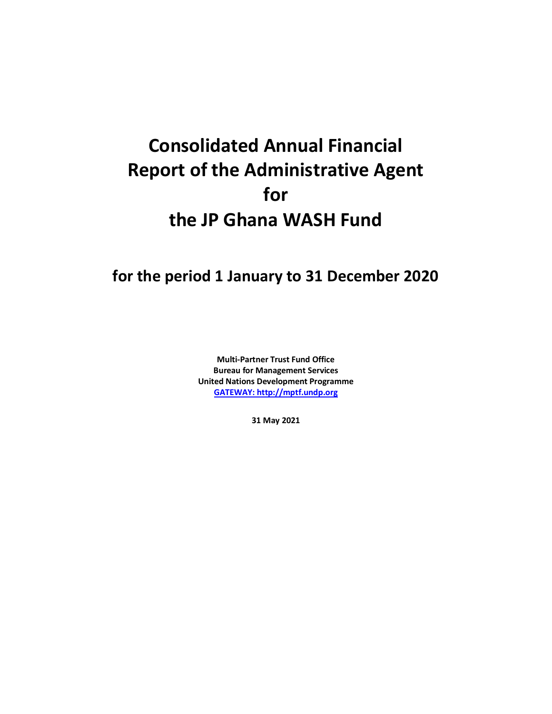## **Consolidated Annual Financial Report of the Administrative Agent for the JP Ghana WASH Fund**

## **for the period 1 January to 31 December 2020**

**Multi-Partner Trust Fund Office Bureau for Management Services United Nations Development Programme [GATEWAY: http://mptf.undp.org](http://mptf.undp.org/)**

**31 May 2021**